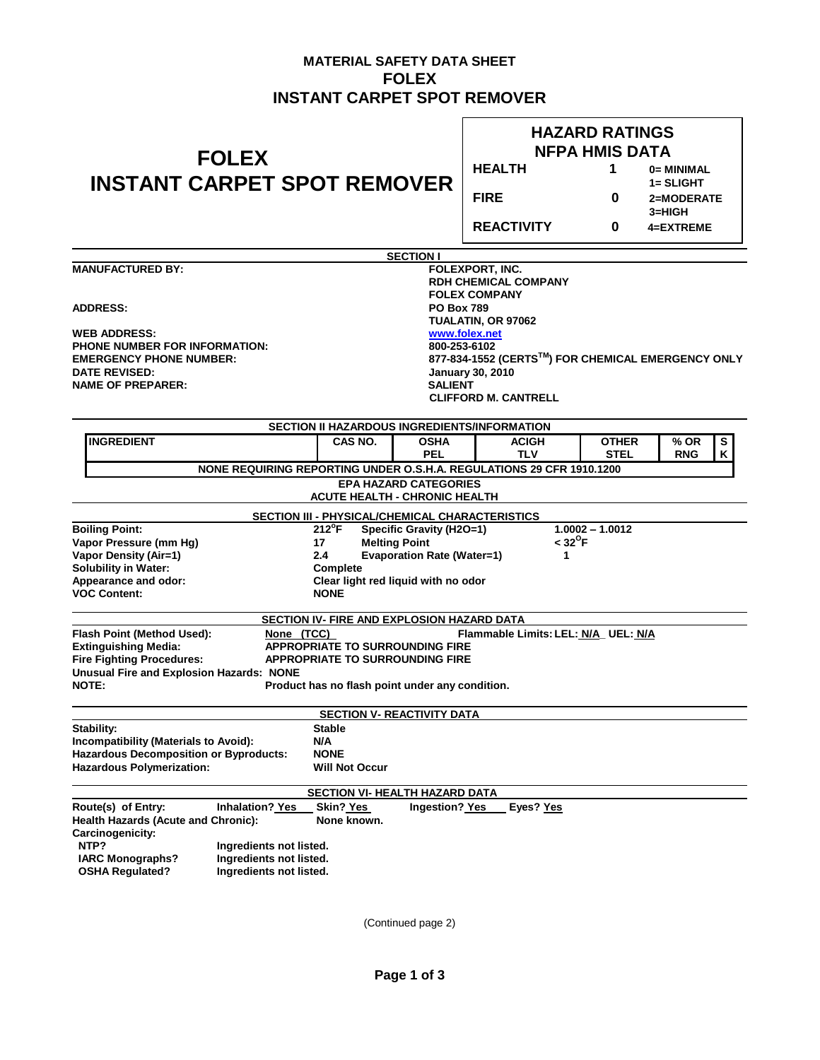## **MATERIAL SAFETY DATA SHEET FOLEX INSTANT CARPET SPOT REMOVER**

| <b>FOLEX</b>                                                                                                                                              | <b>HAZARD RATINGS</b><br><b>NFPA HMIS DATA</b>                                                |                                                |                   |                                 |  |  |
|-----------------------------------------------------------------------------------------------------------------------------------------------------------|-----------------------------------------------------------------------------------------------|------------------------------------------------|-------------------|---------------------------------|--|--|
|                                                                                                                                                           | <b>HEALTH</b>                                                                                 | 1                                              | 0= MINIMAL        |                                 |  |  |
| <b>INSTANT CARPET SPOT REMOVER</b>                                                                                                                        |                                                                                               | <b>FIRE</b>                                    | 0                 | 1= SLIGHT<br>2=MODERATE         |  |  |
|                                                                                                                                                           |                                                                                               | <b>REACTIVITY</b>                              | 0                 | 3=HIGH<br>4=EXTREME             |  |  |
|                                                                                                                                                           | <b>SECTION I</b>                                                                              |                                                |                   |                                 |  |  |
| <b>MANUFACTURED BY:</b>                                                                                                                                   |                                                                                               | FOLEXPORT, INC.<br><b>RDH CHEMICAL COMPANY</b> |                   |                                 |  |  |
|                                                                                                                                                           |                                                                                               | <b>FOLEX COMPANY</b>                           |                   |                                 |  |  |
| <b>ADDRESS:</b>                                                                                                                                           |                                                                                               | <b>PO Box 789</b>                              |                   |                                 |  |  |
| <b>WEB ADDRESS:</b>                                                                                                                                       |                                                                                               | TUALATIN, OR 97062<br>www.folex.net            |                   |                                 |  |  |
| <b>PHONE NUMBER FOR INFORMATION:</b>                                                                                                                      | 800-253-6102                                                                                  |                                                |                   |                                 |  |  |
| <b>EMERGENCY PHONE NUMBER:</b>                                                                                                                            | 877-834-1552 (CERTS™) FOR CHEMICAL EMERGENCY ONLY                                             |                                                |                   |                                 |  |  |
| <b>DATE REVISED:</b>                                                                                                                                      | <b>January 30, 2010</b>                                                                       |                                                |                   |                                 |  |  |
| <b>NAME OF PREPARER:</b>                                                                                                                                  | <b>SALIENT</b>                                                                                | <b>CLIFFORD M. CANTRELL</b>                    |                   |                                 |  |  |
|                                                                                                                                                           |                                                                                               |                                                |                   |                                 |  |  |
|                                                                                                                                                           | <b>SECTION II HAZARDOUS INGREDIENTS/INFORMATION</b>                                           |                                                |                   |                                 |  |  |
| <b>INGREDIENT</b>                                                                                                                                         | CAS NO.<br><b>OSHA</b>                                                                        | <b>ACIGH</b>                                   | <b>OTHER</b>      | $\overline{\mathbf{s}}$<br>% OR |  |  |
|                                                                                                                                                           | <b>PEL</b><br>NONE REQUIRING REPORTING UNDER O.S.H.A. REGULATIONS 29 CFR 1910.1200            | TLV                                            | <b>STEL</b>       | Κ<br><b>RNG</b>                 |  |  |
|                                                                                                                                                           | <b>EPA HAZARD CATEGORIES</b>                                                                  |                                                |                   |                                 |  |  |
|                                                                                                                                                           | <b>ACUTE HEALTH - CHRONIC HEALTH</b>                                                          |                                                |                   |                                 |  |  |
| <b>Boiling Point:</b>                                                                                                                                     | SECTION III - PHYSICAL/CHEMICAL CHARACTERISTICS<br>$212^{\circ}F$<br>Specific Gravity (H2O=1) |                                                | $1.0002 - 1.0012$ |                                 |  |  |
| Vapor Pressure (mm Hg)                                                                                                                                    | <b>Melting Point</b><br>17                                                                    | $<$ 32 $^{\circ}$ F                            |                   |                                 |  |  |
| <b>Vapor Density (Air=1)</b>                                                                                                                              | <b>Evaporation Rate (Water=1)</b><br>2.4                                                      | 1                                              |                   |                                 |  |  |
| <b>Solubility in Water:</b>                                                                                                                               | Complete                                                                                      |                                                |                   |                                 |  |  |
| Appearance and odor:<br><b>VOC Content:</b>                                                                                                               | Clear light red liquid with no odor<br><b>NONE</b>                                            |                                                |                   |                                 |  |  |
|                                                                                                                                                           |                                                                                               |                                                |                   |                                 |  |  |
|                                                                                                                                                           | <b>SECTION IV- FIRE AND EXPLOSION HAZARD DATA</b>                                             |                                                |                   |                                 |  |  |
| Flash Point (Method Used):<br>None (TCC)<br>Flammable Limits: LEL: N/A_ UEL: N/A<br><b>Extinguishing Media:</b><br><b>APPROPRIATE TO SURROUNDING FIRE</b> |                                                                                               |                                                |                   |                                 |  |  |
| <b>Fire Fighting Procedures:</b><br><b>APPROPRIATE TO SURROUNDING FIRE</b>                                                                                |                                                                                               |                                                |                   |                                 |  |  |
| <b>Unusual Fire and Explosion Hazards: NONE</b>                                                                                                           |                                                                                               |                                                |                   |                                 |  |  |
| NOTE:                                                                                                                                                     | Product has no flash point under any condition.                                               |                                                |                   |                                 |  |  |
|                                                                                                                                                           | <b>SECTION V- REACTIVITY DATA</b>                                                             |                                                |                   |                                 |  |  |
| Stability:                                                                                                                                                | Stable                                                                                        |                                                |                   |                                 |  |  |
| Incompatibility (Materials to Avoid):                                                                                                                     | N/A                                                                                           |                                                |                   |                                 |  |  |
| <b>Hazardous Decomposition or Byproducts:</b><br><b>Hazardous Polymerization:</b>                                                                         | <b>NONE</b><br><b>Will Not Occur</b>                                                          |                                                |                   |                                 |  |  |
|                                                                                                                                                           |                                                                                               |                                                |                   |                                 |  |  |
|                                                                                                                                                           | <b>SECTION VI- HEALTH HAZARD DATA</b>                                                         |                                                |                   |                                 |  |  |
| Route(s) of Entry:<br>Inhalation? Yes<br><b>Health Hazards (Acute and Chronic):</b><br>Carcinogenicity:                                                   | Ingestion? Yes<br>Skin? Yes<br>None known.                                                    | Eyes? Yes                                      |                   |                                 |  |  |
| NTP?<br>Ingredients not listed.                                                                                                                           |                                                                                               |                                                |                   |                                 |  |  |
| Ingredients not listed.<br><b>IARC Monographs?</b><br>Ingredients not listed.                                                                             |                                                                                               |                                                |                   |                                 |  |  |
| <b>OSHA Regulated?</b>                                                                                                                                    |                                                                                               |                                                |                   |                                 |  |  |
|                                                                                                                                                           |                                                                                               |                                                |                   |                                 |  |  |

(Continued page 2)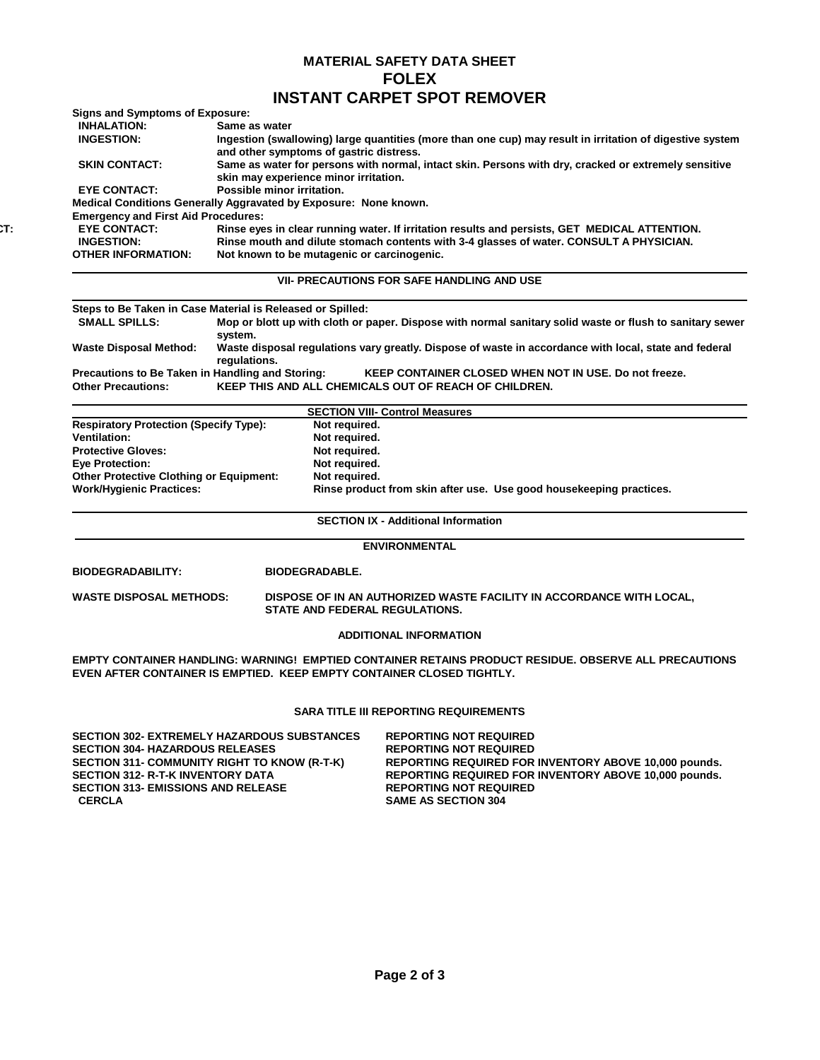## **MATERIAL SAFETY DATA SHEET FOLEX INSTANT CARPET SPOT REMOVER**

| <b>Signs and Symptoms of Exposure:</b>                                        |                                                                                                                                                                                          |                                                                                                                |  |  |  |
|-------------------------------------------------------------------------------|------------------------------------------------------------------------------------------------------------------------------------------------------------------------------------------|----------------------------------------------------------------------------------------------------------------|--|--|--|
| <b>INHALATION:</b>                                                            | Same as water                                                                                                                                                                            |                                                                                                                |  |  |  |
| <b>INGESTION:</b>                                                             | Ingestion (swallowing) large quantities (more than one cup) may result in irritation of digestive system<br>and other symptoms of gastric distress.                                      |                                                                                                                |  |  |  |
| <b>SKIN CONTACT:</b>                                                          | Same as water for persons with normal, intact skin. Persons with dry, cracked or extremely sensitive<br>skin may experience minor irritation.                                            |                                                                                                                |  |  |  |
| Possible minor irritation.<br><b>EYE CONTACT:</b>                             |                                                                                                                                                                                          |                                                                                                                |  |  |  |
|                                                                               | Medical Conditions Generally Aggravated by Exposure: None known.                                                                                                                         |                                                                                                                |  |  |  |
| <b>Emergency and First Aid Procedures:</b>                                    |                                                                                                                                                                                          |                                                                                                                |  |  |  |
| <b>EYE CONTACT:</b><br><b>INGESTION:</b>                                      | Rinse eyes in clear running water. If irritation results and persists, GET MEDICAL ATTENTION.<br>Rinse mouth and dilute stomach contents with 3-4 glasses of water. CONSULT A PHYSICIAN. |                                                                                                                |  |  |  |
| <b>OTHER INFORMATION:</b>                                                     | Not known to be mutagenic or carcinogenic.                                                                                                                                               |                                                                                                                |  |  |  |
|                                                                               |                                                                                                                                                                                          | <b>VII- PRECAUTIONS FOR SAFE HANDLING AND USE</b>                                                              |  |  |  |
|                                                                               | Steps to Be Taken in Case Material is Released or Spilled:                                                                                                                               |                                                                                                                |  |  |  |
| <b>SMALL SPILLS:</b>                                                          | system.                                                                                                                                                                                  | Mop or blott up with cloth or paper. Dispose with normal sanitary solid waste or flush to sanitary sewer       |  |  |  |
| <b>Waste Disposal Method:</b>                                                 | Waste disposal regulations vary greatly. Dispose of waste in accordance with local, state and federal<br>regulations.                                                                    |                                                                                                                |  |  |  |
| Precautions to Be Taken in Handling and Storing:<br><b>Other Precautions:</b> |                                                                                                                                                                                          | KEEP CONTAINER CLOSED WHEN NOT IN USE. Do not freeze.<br>KEEP THIS AND ALL CHEMICALS OUT OF REACH OF CHILDREN. |  |  |  |
|                                                                               |                                                                                                                                                                                          | <b>SECTION VIII- Control Measures</b>                                                                          |  |  |  |
| <b>Respiratory Protection (Specify Type):</b>                                 | Not required.                                                                                                                                                                            |                                                                                                                |  |  |  |
| <b>Ventilation:</b>                                                           | Not required.                                                                                                                                                                            |                                                                                                                |  |  |  |
| <b>Protective Gloves:</b>                                                     | Not required.                                                                                                                                                                            |                                                                                                                |  |  |  |
| <b>Eye Protection:</b>                                                        | Not required.                                                                                                                                                                            |                                                                                                                |  |  |  |
| <b>Other Protective Clothing or Equipment:</b>                                | Not required.                                                                                                                                                                            |                                                                                                                |  |  |  |
| <b>Work/Hygienic Practices:</b>                                               |                                                                                                                                                                                          | Rinse product from skin after use. Use good housekeeping practices.                                            |  |  |  |
|                                                                               |                                                                                                                                                                                          | <b>SECTION IX - Additional Information</b>                                                                     |  |  |  |
|                                                                               |                                                                                                                                                                                          | <b>ENVIRONMENTAL</b>                                                                                           |  |  |  |
| <b>BIODEGRADABILITY:</b>                                                      | <b>BIODEGRADABLE.</b>                                                                                                                                                                    |                                                                                                                |  |  |  |
| <b>WASTE DISPOSAL METHODS:</b>                                                | STATE AND FEDERAL REGULATIONS.                                                                                                                                                           | DISPOSE OF IN AN AUTHORIZED WASTE FACILITY IN ACCORDANCE WITH LOCAL,                                           |  |  |  |
|                                                                               |                                                                                                                                                                                          | <b>ADDITIONAL INFORMATION</b>                                                                                  |  |  |  |
|                                                                               | EVEN AFTER CONTAINER IS EMPTIED. KEEP EMPTY CONTAINER CLOSED TIGHTLY.                                                                                                                    | EMPTY CONTAINER HANDLING: WARNING! EMPTIED CONTAINER RETAINS PRODUCT RESIDUE. OBSERVE ALL PRECAUTIONS          |  |  |  |
|                                                                               |                                                                                                                                                                                          | <b>SARA TITLE III REPORTING REQUIREMENTS</b>                                                                   |  |  |  |
|                                                                               | <b>SECTION 302- EXTREMELY HAZARDOUS SUBSTANCES</b>                                                                                                                                       | <b>REPORTING NOT REQUIRED</b>                                                                                  |  |  |  |
| <b>SECTION 304- HAZARDOUS RELEASES</b>                                        |                                                                                                                                                                                          | <b>REPORTING NOT REQUIRED</b>                                                                                  |  |  |  |
|                                                                               | SECTION 311- COMMUNITY RIGHT TO KNOW (R-T-K)                                                                                                                                             | REPORTING REQUIRED FOR INVENTORY ABOVE 10,000 pounds.                                                          |  |  |  |
| <b>SECTION 312- R-T-K INVENTORY DATA</b>                                      |                                                                                                                                                                                          | REPORTING REQUIRED FOR INVENTORY ABOVE 10,000 pounds.                                                          |  |  |  |
| <b>SECTION 313- EMISSIONS AND RELEASE</b><br><b>CERCLA</b>                    |                                                                                                                                                                                          | <b>REPORTING NOT REQUIRED</b><br><b>SAME AS SECTION 304</b>                                                    |  |  |  |